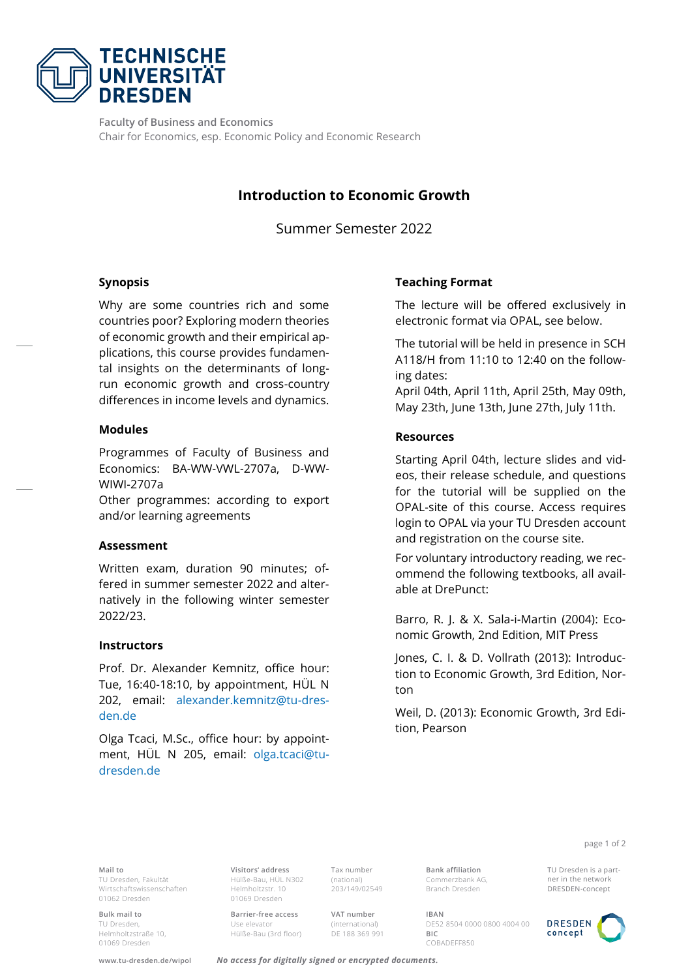

**Faculty of Business and Economics**  Chair for Economics, esp. Economic Policy and Economic Research

# **Introduction to Economic Growth**

Summer Semester 2022

## **Synopsis**

Why are some countries rich and some countries poor? Exploring modern theories of economic growth and their empirical applications, this course provides fundamental insights on the determinants of longrun economic growth and cross-country differences in income levels and dynamics.

#### **Modules**

Programmes of Faculty of Business and Economics: BA-WW-VWL-2707a, D-WW-WIWI-2707a

Other programmes: according to export and/or learning agreements

#### **Assessment**

Written exam, duration 90 minutes; offered in summer semester 2022 and alternatively in the following winter semester 2022/23.

#### **Instructors**

Prof. Dr. Alexander Kemnitz, office hour: Tue, 16:40-18:10, by appointment, HÜL N 202, email: [alexander.kemnitz@tu-dres](mailto:alexander.kemnitz@tu-dresden.de)[den.de](mailto:alexander.kemnitz@tu-dresden.de)

Olga Tcaci, M.Sc., office hour: by appointment, HÜL N 205, email: [olga.tcaci@tu](mailto:olga.tcaci@tu-dresden.de)[dresden.de](mailto:olga.tcaci@tu-dresden.de)

# **Teaching Format**

The lecture will be offered exclusively in electronic format via OPAL, see below.

The tutorial will be held in presence in SCH A118/H from 11:10 to 12:40 on the following dates:

April 04th, April 11th, April 25th, May 09th, May 23th, June 13th, June 27th, July 11th.

## **Resources**

Starting April 04th, lecture slides and videos, their release schedule, and questions for the tutorial will be supplied on the OPAL-site of this course. Access requires login to OPAL via your TU Dresden account and registration on the course site.

For voluntary introductory reading, we recommend the following textbooks, all available at DrePunct:

Barro, R. J. & X. Sala-i-Martin (2004): Economic Growth, 2nd Edition, MIT Press

Jones, C. I. & D. Vollrath (2013): Introduction to Economic Growth, 3rd Edition, Norton

Weil, D. (2013): Economic Growth, 3rd Edition, Pearson

page 1 of 2

**Mail to** TU Dresden, Fakultät Wirtschaftswissenschaften 01062 Dresden

**Bulk mail to** TU Dresden, Helmholtzstraße 10, 01069 Dresden

**Visitors' address** Hülße-Bau, HÜL N302 Helmholtzstr. 10 01069 Dresden

**Barrier-free access** Use elevator Hülße-Bau (3rd floor) Tax number (national) 203/149/02549

**VAT number** (international) DE 188 369 991 **Bank affiliation** Commerzbank AG, Branch Dresden

**IBAN** DE52 8504 0000 0800 4004 00 **BIC**  COBADEFF850



**www.tu-dresden.de/wipol** *No access for digitally signed or encrypted documents.*



TU Dresden is a partner in the network DRESDEN-concept